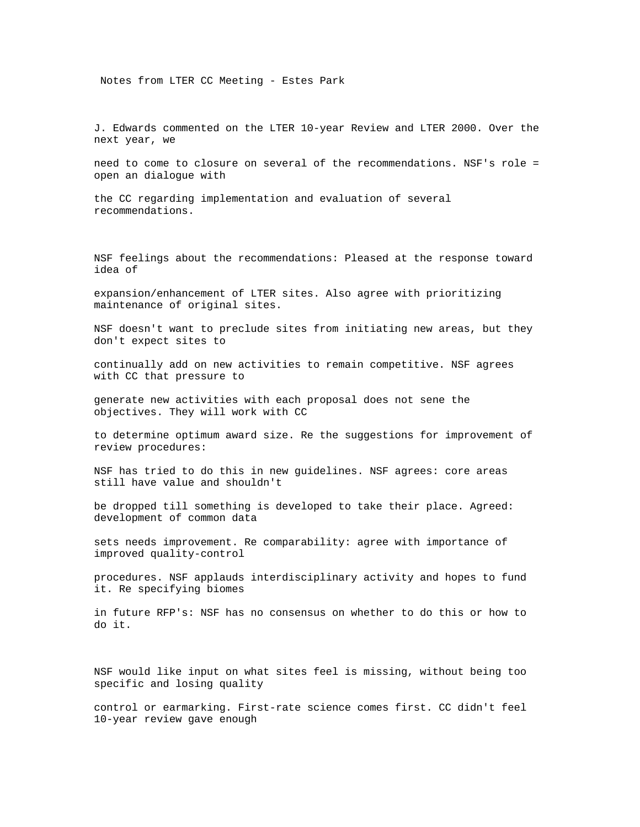Notes from LTER CC Meeting - Estes Park

J. Edwards commented on the LTER 10-year Review and LTER 2000. Over the next year, we

need to come to closure on several of the recommendations. NSF's role = open an dialogue with

the CC regarding implementation and evaluation of several recommendations.

NSF feelings about the recommendations: Pleased at the response toward idea of

expansion/enhancement of LTER sites. Also agree with prioritizing maintenance of original sites.

NSF doesn't want to preclude sites from initiating new areas, but they don't expect sites to

continually add on new activities to remain competitive. NSF agrees with CC that pressure to

generate new activities with each proposal does not sene the objectives. They will work with CC

to determine optimum award size. Re the suggestions for improvement of review procedures:

NSF has tried to do this in new guidelines. NSF agrees: core areas still have value and shouldn't

be dropped till something is developed to take their place. Agreed: development of common data

sets needs improvement. Re comparability: agree with importance of improved quality-control

procedures. NSF applauds interdisciplinary activity and hopes to fund it. Re specifying biomes

in future RFP's: NSF has no consensus on whether to do this or how to do it.

NSF would like input on what sites feel is missing, without being too specific and losing quality

control or earmarking. First-rate science comes first. CC didn't feel 10-year review gave enough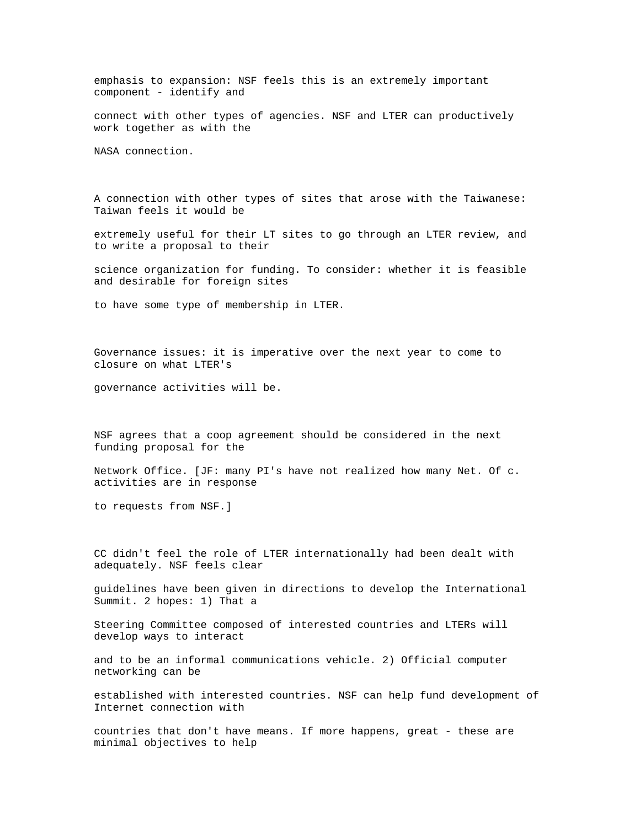emphasis to expansion: NSF feels this is an extremely important component - identify and

connect with other types of agencies. NSF and LTER can productively work together as with the

NASA connection.

A connection with other types of sites that arose with the Taiwanese: Taiwan feels it would be

extremely useful for their LT sites to go through an LTER review, and to write a proposal to their

science organization for funding. To consider: whether it is feasible and desirable for foreign sites

to have some type of membership in LTER.

Governance issues: it is imperative over the next year to come to closure on what LTER's

governance activities will be.

NSF agrees that a coop agreement should be considered in the next funding proposal for the

Network Office. [JF: many PI's have not realized how many Net. Of c. activities are in response

to requests from NSF.]

CC didn't feel the role of LTER internationally had been dealt with adequately. NSF feels clear

guidelines have been given in directions to develop the International Summit. 2 hopes: 1) That a

Steering Committee composed of interested countries and LTERs will develop ways to interact

and to be an informal communications vehicle. 2) Official computer networking can be

established with interested countries. NSF can help fund development of Internet connection with

countries that don't have means. If more happens, great - these are minimal objectives to help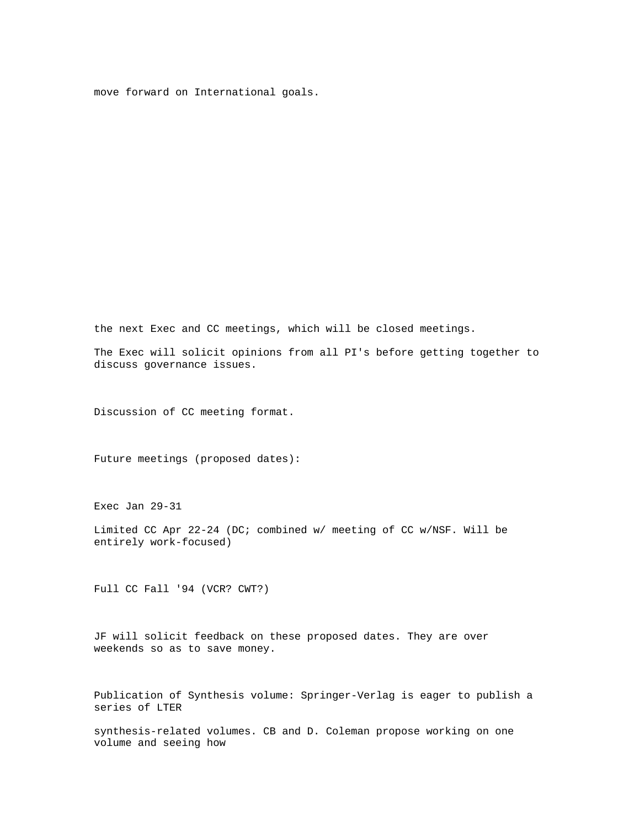move forward on International goals.

the next Exec and CC meetings, which will be closed meetings.

The Exec will solicit opinions from all PI's before getting together to discuss governance issues.

Discussion of CC meeting format.

Future meetings (proposed dates):

Exec Jan 29-31

Limited CC Apr 22-24 (DC; combined w/ meeting of CC w/NSF. Will be entirely work-focused)

Full CC Fall '94 (VCR? CWT?)

JF will solicit feedback on these proposed dates. They are over weekends so as to save money.

Publication of Synthesis volume: Springer-Verlag is eager to publish a series of LTER

synthesis-related volumes. CB and D. Coleman propose working on one volume and seeing how